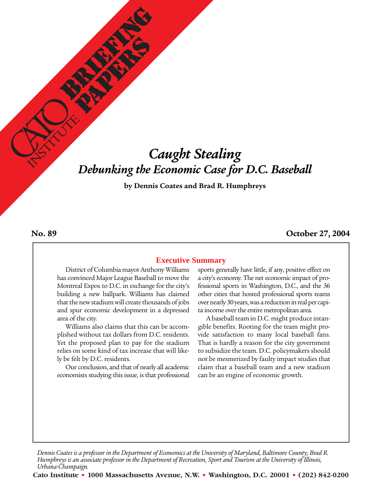# *Caught Stealing Debunking the Economic Case for D.C. Baseball*

**by Dennis Coates and Brad R. Humphreys**

#### **No. 89**

#### **October 27, 2004**

#### **Executive Summary**

District of Columbia mayor Anthony Williams has convinced Major League Baseball to move the Montreal Expos to D.C. in exchange for the city's building a new ballpark. Williams has claimed that the new stadium will create thousands of jobs and spur economic development in a depressed area of the city.

Williams also claims that this can be accomplished without tax dollars from D.C. residents. Yet the proposed plan to pay for the stadium relies on some kind of tax increase that will likely be felt by D.C. residents.

Our conclusion, and that of nearly all academic economists studying this issue, is that professional

sports generally have little, if any, positive effect on a city's economy. The net economic impact of professional sports in Washington, D.C., and the 36 other cities that hosted professional sports teams over nearly 30 years, was a reduction in real per capita income over the entire metropolitan area.

A baseball team in D.C. might produce intangible benefits. Rooting for the team might provide satisfaction to many local baseball fans. That is hardly a reason for the city government to subsidize the team. D.C. policymakers should not be mesmerized by faulty impact studies that claim that a baseball team and a new stadium can be an engine of economic growth.

*Dennis Coates is a professor in the Department of Economics at the University of Maryland, Baltimore County; Brad R. Humphreys is an associate professor in the Department of Recreation, Sport and Tourism at the University of Illinois, Urbana-Champaign.*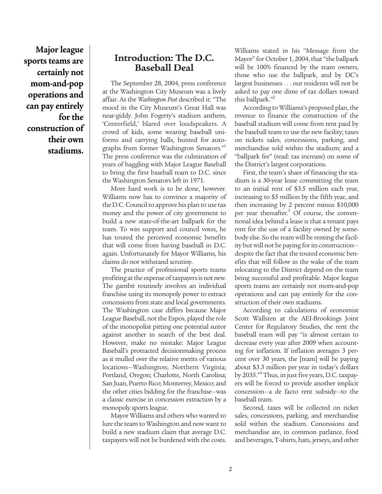**Major league sports teams are certainly not mom-and-pop operations and can pay entirely for the construction of their own stadiums.** 

# **Introduction: The D.C. Baseball Deal**

The September 28, 2004, press conference at the Washington City Museum was a lively affair. As the *Washington Post* described it: "The mood in the City Museum's Great Hall was near-giddy. John Fogerty's stadium anthem, 'Centerfield,' blared over loudspeakers. A crowd of kids, some wearing baseball uniforms and carrying balls, hunted for autographs from former Washington Senators."<sup>1</sup> The press conference was the culmination of years of haggling with Major League Baseball to bring the first baseball team to D.C. since the Washington Senators left in 1971.

More hard work is to be done, however. Williams now has to convince a majority of the D.C. Council to approve his plan to use tax money and the power of city government to build a new state-of-the-art ballpark for the team. To win support and council votes, he has touted the perceived economic benefits that will come from having baseball in D.C. again. Unfortunately for Mayor Williams, his claims do not withstand scrutiny.

The practice of professional sports teams profiting at the expense of taxpayers is not new. The gambit routinely involves an individual franchise using its monopoly power to extract concessions from state and local governments. The Washington case differs because Major League Baseball, not the Expos, played the role of the monopolist pitting one potential suitor against another in search of the best deal. However, make no mistake: Major League Baseball's protracted decisionmaking process as it mulled over the relative merits of various locations—Washington; Northern Virginia; Portland, Oregon; Charlotte, North Carolina; San Juan, Puerto Rico; Monterrey, Mexico; and the other cities bidding for the franchise—was a classic exercise in concession extraction by a monopoly sports league.

Mayor Williams and others who wanted to lure the team to Washington and now want to build a new stadium claim that average D.C. taxpayers will not be burdened with the costs. Williams stated in his "Message from the Mayor" for October 1, 2004, that "the ballpark will be 100% financed by the team owners, those who use the ballpark, and by DC's largest businesses . . . our residents will not be asked to pay one dime of tax dollars toward this ballpark."<sup>2</sup>

According to Williams's proposed plan, the revenue to finance the construction of the baseball stadium will come from rent paid by the baseball team to use the new facility; taxes on tickets sales, concessions, parking, and merchandise sold within the stadium; and a "ballpark fee" (read: tax increase) on some of the District's largest corporations.

First, the team's share of financing the stadium is a 30-year lease committing the team to an initial rent of \$3.5 million each year, increasing to \$5 million by the fifth year, and then increasing by 2 percent minus \$10,000 per year thereafter.<sup>3</sup> Of course, the conventional idea behind a lease is that a tenant pays rent for the use of a facility owned by somebody else. So the team will be renting the facility but will not be paying for its construction despite the fact that the touted economic benefits that will follow in the wake of the team relocating to the District depend on the team being successful and profitable. Major league sports teams are certainly not mom-and-pop operations and can pay entirely for the construction of their own stadiums.

According to calculations of economist Scott Wallsten at the AEI-Brookings Joint Center for Regulatory Studies, the rent the baseball team will pay "is almost certain to decrease every year after 2009 when accounting for inflation. If inflation averages 3 percent over 30 years, the [team] will be paying about \$3.3 million per year in today's dollars by 2035."4 Thus, in just five years, D.C. taxpayers will be forced to provide another implicit concession—a de facto rent subsidy—to the baseball team.

Second, taxes will be collected on ticket sales, concessions, parking, and merchandise sold within the stadium. Concessions and merchandise are, in common parlance, food and beverages, T-shirts, hats, jerseys, and other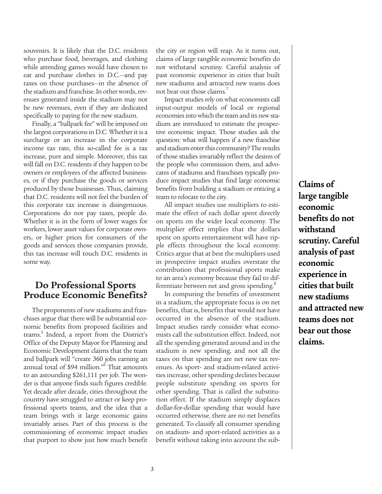souvenirs. It is likely that the D.C. residents who purchase food, beverages, and clothing while attending games would have chosen to eat and purchase clothes in D.C.—and pay taxes on those purchases—in the absence of the stadium and franchise. In other words, revenues generated inside the stadium may not be new revenues, even if they are dedicated specifically to paying for the new stadium.

Finally, a "ballpark fee" will be imposed on the largest corporations in D.C. Whether it is a surcharge or an increase in the corporate income tax rate, this so-called fee is a tax increase, pure and simple. Moreover, this tax will fall on D.C. residents if they happen to be owners or employees of the affected businesses, or if they purchase the goods or services produced by those businesses. Thus, claiming that D.C. residents will not feel the burden of this corporate tax increase is disingenuous. Corporations do not pay taxes, people do. Whether it is in the form of lower wages for workers, lower asset values for corporate owners, or higher prices for consumers of the goods and services those companies provide, this tax increase will touch D.C. residents in some way.

# **Do Professional Sports Produce Economic Benefits?**

The proponents of new stadiums and franchises argue that there will be substantial economic benefits from proposed facilities and teams.<sup>5</sup> Indeed, a report from the District's Office of the Deputy Mayor for Planning and Economic Development claims that the team and ballpark will "create 360 jobs earning an annual total of \$94 million."<sup>6</sup> That amounts to an astounding \$261,111 per job. The wonder is that anyone finds such figures credible. Yet decade after decade, cities throughout the country have struggled to attract or keep professional sports teams, and the idea that a team brings with it large economic gains invariably arises. Part of this process is the commissioning of economic impact studies that purport to show just how much benefit the city or region will reap. As it turns out, claims of large tangible economic benefits do not withstand scrutiny. Careful analysis of past economic experience in cities that built new stadiums and attracted new teams does not bear out those claims.7

Impact studies rely on what economists call input-output models of local or regional economies into which the team and its new stadium are introduced to estimate the prospective economic impact. Those studies ask the question: what will happen if a new franchise and stadium enter this community? The results of those studies invariably reflect the desires of the people who commission them, and advocates of stadiums and franchises typically produce impact studies that find large economic benefits from building a stadium or enticing a team to relocate to the city.

All impact studies use multipliers to estimate the effect of each dollar spent directly on sports on the wider local economy. The multiplier effect implies that the dollars spent on sports entertainment will have ripple effects throughout the local economy. Critics argue that at best the multipliers used in prospective impact studies overstate the contribution that professional sports make to an area's economy because they fail to differentiate between net and gross spending.<sup>8</sup>

In computing the benefits of investment in a stadium, the appropriate focus is on net benefits, that is, benefits that would not have occurred in the absence of the stadium. Impact studies rarely consider what economists call the substitution effect. Indeed, not all the spending generated around and in the stadium is new spending, and not all the taxes on that spending are net new tax revenues. As sport- and stadium-related activities increase, other spending declines because people substitute spending on sports for other spending. That is called the substitution effect. If the stadium simply displaces dollar-for-dollar spending that would have occurred otherwise, there are no net benefits generated. To classify all consumer spending on stadium- and sport-related activities as a benefit without taking into account the sub-

**Claims of large tangible economic benefits do not withstand scrutiny. Careful analysis of past economic experience in cities that built new stadiums and attracted new teams does not bear out those claims.**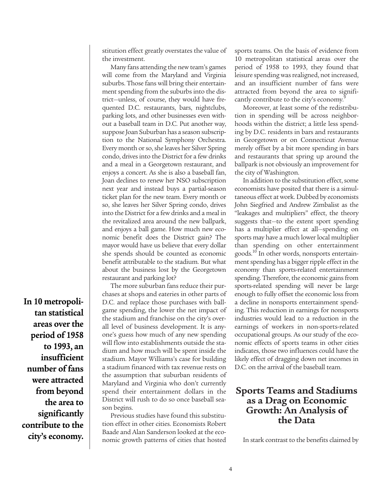stitution effect greatly overstates the value of the investment.

Many fans attending the new team's games will come from the Maryland and Virginia suburbs. Those fans will bring their entertainment spending from the suburbs into the district—unless, of course, they would have frequented D.C. restaurants, bars, nightclubs, parking lots, and other businesses even without a baseball team in D.C. Put another way, suppose Joan Suburban has a season subscription to the National Symphony Orchestra. Every month or so, she leaves her Silver Spring condo, drives into the District for a few drinks and a meal in a Georgetown restaurant, and enjoys a concert. As she is also a baseball fan, Joan declines to renew her NSO subscription next year and instead buys a partial-season ticket plan for the new team. Every month or so, she leaves her Silver Spring condo, drives into the District for a few drinks and a meal in the revitalized area around the new ballpark, and enjoys a ball game. How much new economic benefit does the District gain? The mayor would have us believe that every dollar she spends should be counted as economic benefit attributable to the stadium. But what about the business lost by the Georgetown restaurant and parking lot?

The more suburban fans reduce their pur-

chases at shops and eateries in other parts of D.C. and replace those purchases with ballgame spending, the lower the net impact of the stadium and franchise on the city's overall level of business development. It is anyone's guess how much of any new spending will flow into establishments outside the stadium and how much will be spent inside the stadium. Mayor Williams's case for building a stadium financed with tax revenue rests on the assumption that suburban residents of Maryland and Virginia who don't currently spend their entertainment dollars in the District will rush to do so once baseball season begins. **In 10 metropolitan statistical areas over the period of 1958 to 1993, an insufficient number of fans were attracted from beyond the area to significantly contribute to the**

**city's economy.**

Previous studies have found this substitution effect in other cities. Economists Robert Baade and Alan Sanderson looked at the economic growth patterns of cities that hosted sports teams. On the basis of evidence from 10 metropolitan statistical areas over the period of 1958 to 1993, they found that leisure spending was realigned, not increased, and an insufficient number of fans were attracted from beyond the area to significantly contribute to the city's economy.<sup>9</sup>

Moreover, at least some of the redistribution in spending will be across neighborhoods within the district; a little less spending by D.C. residents in bars and restaurants in Georgetown or on Connecticut Avenue merely offset by a bit more spending in bars and restaurants that spring up around the ballpark is not obviously an improvement for the city of Washington.

In addition to the substitution effect, some economists have posited that there is a simultaneous effect at work. Dubbed by economists John Siegfried and Andrew Zimbalist as the "leakages and multipliers" effect, the theory suggests that—to the extent sport spending has a multiplier effect at all—spending on sports may have a much lower local multiplier than spending on other entertainment goods.10 In other words, nonsports entertainment spending has a bigger ripple effect in the economy than sports-related entertainment spending. Therefore, the economic gains from sports-related spending will never be large enough to fully offset the economic loss from a decline in nonsports entertainment spending. This reduction in earnings for nonsports industries would lead to a reduction in the earnings of workers in non-sports-related occupational groups. As our study of the economic effects of sports teams in other cities indicates, those two influences could have the likely effect of dragging down net incomes in D.C. on the arrival of the baseball team.

# **Sports Teams and Stadiums as a Drag on Economic Growth: An Analysis of the Data**

In stark contrast to the benefits claimed by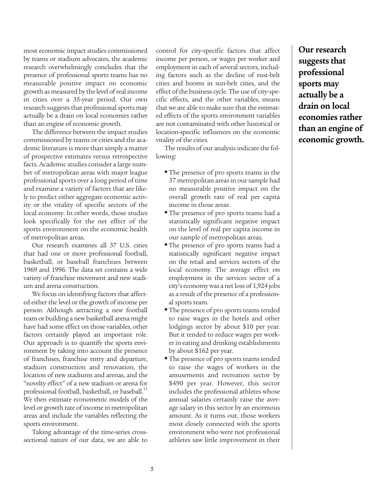most economic impact studies commissioned by teams or stadium advocates, the academic research overwhelmingly concludes that the presence of professional sports teams has no measurable positive impact on economic growth as measured by the level of real income in cities over a 35-year period. Our own research suggests that professional sports may actually be a drain on local economies rather than an engine of economic growth.

The difference between the impact studies commissioned by teams or cities and the academic literature is more than simply a matter of prospective estimates versus retrospective facts. Academic studies consider a large number of metropolitan areas with major league professional sports over a long period of time and examine a variety of factors that are likely to predict either aggregate economic activity or the vitality of specific sectors of the local economy. In other words, those studies look specifically for the net effect of the sports environment on the economic health of metropolitan areas.

Our research examines all 37 U.S. cities that had one or more professional football, basketball, or baseball franchises between 1969 and 1996. The data set contains a wide variety of franchise movement and new stadium and arena construction.

We focus on identifying factors that affected either the level or the growth of income per person. Although attracting a new football team or building a new basketball arena might have had some effect on those variables, other factors certainly played an important role. Our approach is to quantify the sports environment by taking into account the presence of franchises, franchise entry and departure, stadium construction and renovation, the location of new stadiums and arenas, and the "novelty effect" of a new stadium or arena for professional football, basketball, or baseball.<sup>11</sup> We then estimate econometric models of the level or growth rate of income in metropolitan areas and include the variables reflecting the sports environment.

Taking advantage of the time-series crosssectional nature of our data, we are able to

control for city-specific factors that affect income per person, or wages per worker and employment in each of several sectors, including factors such as the decline of rust-belt cities and booms in sun-belt cities, and the effect of the business cycle. The use of city-specific effects, and the other variables, means that we are able to make sure that the estimated effects of the sports environment variables are not contaminated with other historical or location-specific influences on the economic vitality of the cities.

The results of our analysis indicate the following:

- **•** The presence of pro sports teams in the 37 metropolitan areas in our sample had no measurable positive impact on the overall growth rate of real per capita income in those areas.
- **•** The presence of pro sports teams had a statistically significant negative impact on the level of real per capita income in our sample of metropolitan areas.
- **•** The presence of pro sports teams had a statistically significant negative impact on the retail and services sectors of the local economy. The average effect on employment in the services sector of a city's economy was a net loss of 1,924 jobs as a result of the presence of a professional sports team.
- **•** The presence of pro sports teams tended to raise wages in the hotels and other lodgings sector by about \$10 per year. But it tended to reduce wages per worker in eating and drinking establishments by about \$162 per year.
- **•** The presence of pro sports teams tended to raise the wages of workers in the amusements and recreation sector by \$490 per year. However, this sector includes the professional athletes whose annual salaries certainly raise the average salary in this sector by an enormous amount. As it turns out, those workers most closely connected with the sports environment who were not professional athletes saw little improvement in their

**Our research suggests that professional sports may actually be a drain on local economies rather than an engine of economic growth.**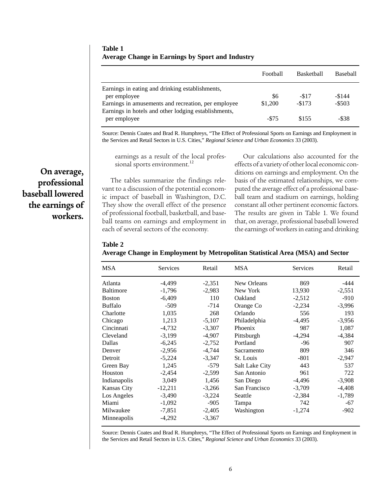**Table 1 Average Change in Earnings by Sport and Industry**

|                                                      | Football | <b>Basketball</b> | <b>Baseball</b> |
|------------------------------------------------------|----------|-------------------|-----------------|
| Earnings in eating and drinking establishments,      |          |                   |                 |
| per employee                                         | \$6      | $-517$            | $-$144$         |
| Earnings in amusements and recreation, per employee  | \$1,200  | $-$173$           | $-$ \$503       |
| Earnings in hotels and other lodging establishments, |          |                   |                 |
| per employee                                         | $-575$   | \$155             | -\$38           |
|                                                      |          |                   |                 |

Source: Dennis Coates and Brad R. Humphreys, "The Effect of Professional Sports on Earnings and Employment in the Services and Retail Sectors in U.S. Cities," *Regional Science and Urban Economics* 33 (2003).

earnings as a result of the local professional sports environment.<sup>12</sup>

The tables summarize the findings relevant to a discussion of the potential economic impact of baseball in Washington, D.C. They show the overall effect of the presence of professional football, basketball, and baseball teams on earnings and employment in each of several sectors of the economy.

Our calculations also accounted for the effects of a variety of other local economic conditions on earnings and employment. On the basis of the estimated relationships, we computed the average effect of a professional baseball team and stadium on earnings, holding constant all other pertinent economic factors. The results are given in Table 1. We found that, on average, professional baseball lowered the earnings of workers in eating and drinking

**Table 2**

**Average Change in Employment by Metropolitan Statistical Area (MSA) and Sector**

| <b>MSA</b>       | Services  | Retail   | <b>MSA</b>     | Services | Retail   |
|------------------|-----------|----------|----------------|----------|----------|
| Atlanta          | $-4,499$  | $-2,351$ | New Orleans    | 869      | -444     |
| <b>Baltimore</b> | $-1,796$  | $-2,983$ | New York       | 13,930   | $-2,551$ |
| <b>Boston</b>    | $-6,409$  | 110      | Oakland        | $-2,512$ | $-910$   |
| <b>Buffalo</b>   | $-509$    | $-714$   | Orange Co      | $-2,234$ | $-3,996$ |
| Charlotte        | 1,035     | 268      | Orlando        | 556      | 193      |
| Chicago          | 1,213     | $-5,107$ | Philadelphia   | $-4,495$ | $-3,956$ |
| Cincinnati       | $-4,732$  | $-3,307$ | Phoenix        | 987      | 1,087    |
| Cleveland        | $-3,199$  | $-4,907$ | Pittsburgh     | $-4,294$ | $-4,384$ |
| Dallas           | $-6,245$  | $-2,752$ | Portland       | $-96$    | 907      |
| Denver           | $-2,956$  | $-4,744$ | Sacramento     | 809      | 346      |
| Detroit          | $-5,224$  | $-3,347$ | St. Louis      | $-801$   | $-2,947$ |
| Green Bay        | 1,245     | $-579$   | Salt Lake City | 443      | 537      |
| Houston          | $-2,454$  | $-2,599$ | San Antonio    | 961      | 722      |
| Indianapolis     | 3,049     | 1,456    | San Diego      | $-4,496$ | $-3,908$ |
| Kansas City      | $-12,211$ | $-3,266$ | San Francisco  | $-3,709$ | $-4,408$ |
| Los Angeles      | $-3,490$  | $-3,224$ | Seattle        | $-2,384$ | $-1,789$ |
| Miami            | $-1,092$  | $-905$   | Tampa          | 742      | $-67$    |
| Milwaukee        | $-7,851$  | $-2,405$ | Washington     | $-1,274$ | $-902$   |
| Minneapolis      | $-4,292$  | $-3,367$ |                |          |          |

Source: Dennis Coates and Brad R. Humphreys, "The Effect of Professional Sports on Earnings and Employment in the Services and Retail Sectors in U.S. Cities," *Regional Science and Urban Economics* 33 (2003).

**On average, professional baseball lowered the earnings of workers.**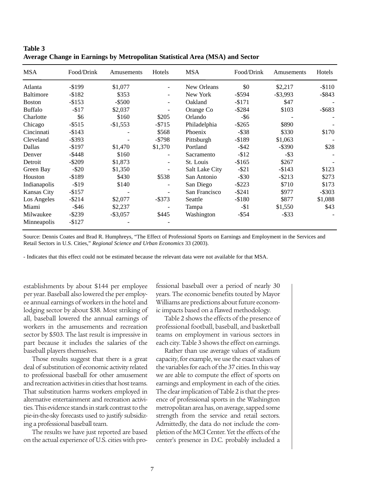| <b>MSA</b>       | Food/Drink | Amusements  | Hotels                   | <b>MSA</b>            | Food/Drink | Amusements  | Hotels    |
|------------------|------------|-------------|--------------------------|-----------------------|------------|-------------|-----------|
| Atlanta          | $-$ \$199  | \$1,077     |                          | New Orleans           | \$0        | \$2,217     | $-$110$   |
| <b>Baltimore</b> | $-$ \$182  | \$353       | $\overline{\phantom{0}}$ | New York              | $-$ \$594  | $-$ \$3,993 | $-$ \$843 |
| <b>Boston</b>    | $-$ \$153  | $-$ \$500   |                          | Oakland               | $-$171$    | \$47        |           |
| <b>Buffalo</b>   | $- $17$    | \$2,037     |                          | Orange Co             | $-$ \$284  | \$103       | $-$ \$683 |
| Charlotte        | \$6        | \$160       | \$205                    | Orlando               | -\$6       |             |           |
| Chicago          | $-$ \$515  | $-$1,553$   | $-$ \$715                | Philadelphia          | $-$ \$265  | \$890       |           |
| Cincinnati       | $-$143$    |             | \$568                    | Phoenix               | $-$ \$38   | \$330       | \$170     |
| Cleveland        | $-$ \$393  |             | $-$ \$798                | Pittsburgh            | $-$ \$189  | \$1,063     |           |
| Dallas           | $-$197$    | \$1,470     | \$1,370                  | Portland              | $-$ \$42   | $-$ \$390   | \$28      |
| Denver           | $-$ \$448  | \$160       |                          | Sacramento            | $-$ \$12   | $-$ \$3     |           |
| Detroit          | $-$ \$209  | \$1,873     |                          | St. Louis             | $-$165$    | \$267       |           |
| Green Bay        | $-$ \$20   | \$1,350     |                          | <b>Salt Lake City</b> | $-$ \$21   | $-$ \$143   | \$123     |
| Houston          | $-$ \$189  | \$430       | \$538                    | San Antonio           | $-$ \$30   | $-$ \$213   | \$273     |
| Indianapolis     | $-$ \$19   | \$140       |                          | San Diego             | $-$ \$223  | \$710       | \$173     |
| Kansas City      | $-$157$    |             |                          | San Francisco         | $-$ \$241  | \$977       | $-$ \$303 |
| Los Angeles      | $-$ \$214  | \$2,077     | $-$ \$373                | Seattle               | $-$180$    | \$877       | \$1,088   |
| Miami            | $-$ \$46   | \$2,237     |                          | Tampa                 | $-11$      | \$1,550     | \$43      |
| Milwaukee        | $-$ \$239  | $-$ \$3,057 | \$445                    | Washington            | $-$ \$54   | $-$ \$33    |           |
| Minneapolis      | $-$127$    |             |                          |                       |            |             |           |

| Table 3                                                                      |  |
|------------------------------------------------------------------------------|--|
| Average Change in Earnings by Metropolitan Statistical Area (MSA) and Sector |  |

Source: Dennis Coates and Brad R. Humphreys, "The Effect of Professional Sports on Earnings and Employment in the Services and Retail Sectors in U.S. Cities," *Regional Science and Urban Economics* 33 (2003).

- Indicates that this effect could not be estimated because the relevant data were not available for that MSA.

establishments by about \$144 per employee per year. Baseball also lowered the per employee annual earnings of workers in the hotel and lodging sector by about \$38. Most striking of all, baseball lowered the annual earnings of workers in the amusements and recreation sector by \$503. The last result is impressive in part because it includes the salaries of the baseball players themselves.

Those results suggest that there is a great deal of substitution of economic activity related to professional baseball for other amusement and recreation activities in cities that host teams. That substitution harms workers employed in alternative entertainment and recreation activities. This evidence stands in stark contrast to the pie-in-the-sky forecasts used to justify subsidizing a professional baseball team.

The results we have just reported are based on the actual experience of U.S. cities with pro-

fessional baseball over a period of nearly 30 years. The economic benefits touted by Mayor Williams are predictions about future economic impacts based on a flawed methodology.

Table 2 shows the effects of the presence of professional football, baseball, and basketball teams on employment in various sectors in each city. Table 3 shows the effect on earnings.

Rather than use average values of stadium capacity, for example, we use the exact values of the variables for each of the 37 cities. In this way we are able to compute the effect of sports on earnings and employment in each of the cities. The clear implication of Table 2 is that the presence of professional sports in the Washington metropolitan area has, on average, sapped some strength from the service and retail sectors. Admittedly, the data do not include the completion of the MCI Center. Yet the effects of the center's presence in D.C. probably included a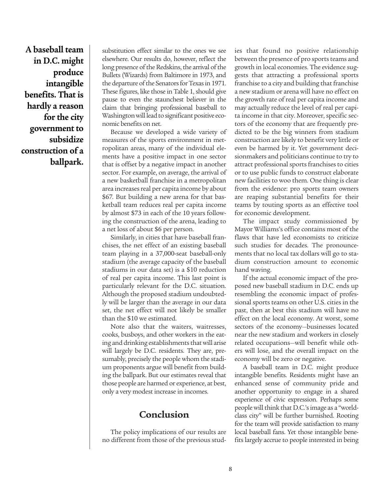**A baseball team in D.C. might produce intangible benefits. That is hardly a reason for the city government to subsidize construction of a ballpark.**

substitution effect similar to the ones we see elsewhere. Our results do, however, reflect the long presence of the Redskins, the arrival of the Bullets (Wizards) from Baltimore in 1973, and the departure of the Senators for Texas in 1971. These figures, like those in Table 1, should give pause to even the staunchest believer in the claim that bringing professional baseball to Washington will lead to significant positive economic benefits on net.

Because we developed a wide variety of measures of the sports environment in metropolitan areas, many of the individual elements have a positive impact in one sector that is offset by a negative impact in another sector. For example, on average, the arrival of a new basketball franchise in a metropolitan area increases real per capita income by about \$67. But building a new arena for that basketball team reduces real per capita income by almost \$73 in each of the 10 years following the construction of the arena, leading to a net loss of about \$6 per person.

Similarly, in cities that have baseball franchises, the net effect of an existing baseball team playing in a 37,000-seat baseball-only stadium (the average capacity of the baseball stadiums in our data set) is a \$10 reduction of real per capita income. This last point is particularly relevant for the D.C. situation. Although the proposed stadium undoubtedly will be larger than the average in our data set, the net effect will not likely be smaller than the \$10 we estimated.

Note also that the waiters, waitresses, cooks, busboys, and other workers in the eating and drinking establishments that will arise will largely be D.C. residents. They are, presumably, precisely the people whom the stadium proponents argue will benefit from building the ballpark. But our estimates reveal that those people are harmed or experience, at best, only a very modest increase in incomes.

# **Conclusion**

The policy implications of our results are no different from those of the previous studies that found no positive relationship between the presence of pro sports teams and growth in local economies. The evidence suggests that attracting a professional sports franchise to a city and building that franchise a new stadium or arena will have no effect on the growth rate of real per capita income and may actually reduce the level of real per capita income in that city. Moreover, specific sectors of the economy that are frequently predicted to be the big winners from stadium construction are likely to benefit very little or even be harmed by it. Yet government decisionmakers and politicians continue to try to attract professional sports franchises to cities or to use public funds to construct elaborate new facilities to woo them. One thing is clear from the evidence: pro sports team owners are reaping substantial benefits for their teams by touting sports as an effective tool for economic development.

The impact study commissioned by Mayor Williams's office contains most of the flaws that have led economists to criticize such studies for decades. The pronouncements that no local tax dollars will go to stadium construction amount to economic hand waving.

If the actual economic impact of the proposed new baseball stadium in D.C. ends up resembling the economic impact of professional sports teams on other U.S. cities in the past, then at best this stadium will have no effect on the local economy. At worst, some sectors of the economy—businesses located near the new stadium and workers in closely related occupations—will benefit while others will lose, and the overall impact on the economy will be zero or negative.

A baseball team in D.C. might produce intangible benefits. Residents might have an enhanced sense of community pride and another opportunity to engage in a shared experience of civic expression. Perhaps some people will think that D.C.'s image as a "worldclass city" will be further burnished. Rooting for the team will provide satisfaction to many local baseball fans. Yet those intangible benefits largely accrue to people interested in being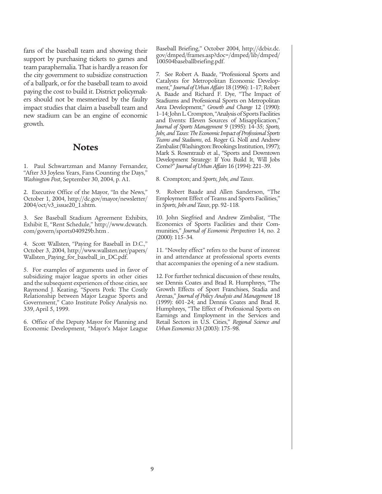fans of the baseball team and showing their support by purchasing tickets to games and team paraphernalia. That is hardly a reason for the city government to subsidize construction of a ballpark, or for the baseball team to avoid paying the cost to build it. District policymakers should not be mesmerized by the faulty impact studies that claim a baseball team and new stadium can be an engine of economic growth.

### **Notes**

1. Paul Schwartzman and Manny Fernandez, "After 33 Joyless Years, Fans Counting the Days," *Washington Post*, September 30, 2004, p. A1.

2. Executive Office of the Mayor, "In the News," October 1, 2004, http://dc.gov/mayor/newsletter/ 2004/oct/v3\_issue20\_1.shtm.

3. See Baseball Stadium Agreement Exhibits, Exhibit E, "Rent Schedule," http://www.dcwatch. com/govern/sports040929b.htm .

4. Scott Wallsten, "Paying for Baseball in D.C.," October 3, 2004, http://www.wallsten.net/papers/ Wallsten\_Paying\_for\_baseball\_in\_DC.pdf.

5. For examples of arguments used in favor of subsidizing major league sports in other cities and the subsequent experiences of those cities, see Raymond J. Keating, "Sports Pork: The Costly Relationship between Major League Sports and Government," Cato Institute Policy Analysis no. 339, April 5, 1999.

6. Office of the Deputy Mayor for Planning and Economic Development, "Mayor's Major League Baseball Briefing," October 2004, http://dcbiz.dc. gov/dmped/frames.asp?doc=/dmped/lib/dmped/ 100504baseballbriefing.pdf.

7. See Robert A. Baade, "Professional Sports and Catalysts for Metropolitan Economic Development," *Journal of Urban Affairs* 18 (1996): 1–17; Robert A. Baade and Richard F. Dye, "The Impact of Stadiums and Professional Sports on Metropolitan Area Development," *Growth and Change* 12 (1990): 1–14; John L. Crompton, "Analysis of Sports Facilities and Events: Eleven Sources of Misapplication," *Journal of Sports Management* 9 (1995): 14–35; *Sports, Jobs, and Taxes: The Economic Impact of Professional Sports Teams and Stadiums*, ed. Roger G. Noll and Andrew Zimbalist (Washington: Brookings Institution, 1997); Mark S. Rosentraub et al., "Sports and Downtown Development Strategy: If You Build It, Will Jobs Come?" *Journal of Urban Affairs* 16 (1994): 221–39.

8. Crompton; and *Sports, Jobs, and Taxes*.

9. Robert Baade and Allen Sanderson, "The Employment Effect of Teams and Sports Facilities," in *Sports, Jobs and Taxes*, pp. 92–118.

10. John Siegfried and Andrew Zimbalist, "The Economics of Sports Facilities and their Communities," *Journal of Economic Perspectives* 14, no. 2 (2000): 115–34.

11. "Novelty effect" refers to the burst of interest in and attendance at professional sports events that accompanies the opening of a new stadium.

12. For further technical discussion of these results, see Dennis Coates and Brad R. Humphreys, "The Growth Effects of Sport Franchises, Stadia and Arenas," *Journal of Policy Analysis and Management* 18 (1999): 601–24; and Dennis Coates and Brad R. Humphreys, "The Effect of Professional Sports on Earnings and Employment in the Services and Retail Sectors in U.S. Cities," *Regional Science and Urban Economics* 33 (2003): 175–98.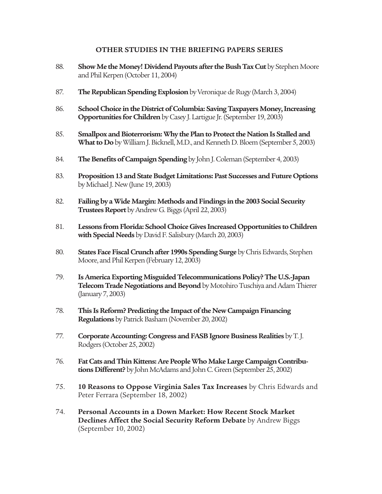#### **OTHER STUDIES IN THE BRIEFING PAPERS SERIES**

- 88. **Show Me the Money! Dividend Payouts after the Bush Tax Cut** by Stephen Moore and Phil Kerpen (October 11, 2004)
- 87. **The Republican Spending Explosion**by Veronique de Rugy (March 3, 2004)
- 86. **School Choice in the District of Columbia: Saving Taxpayers Money, Increasing Opportunities for Children** by Casey J. Lartigue Jr. (September 19, 2003)
- 85. **Smallpox and Bioterrorism: Why the Plan to Protect the Nation Is Stalled and What to Do** by William J. Bicknell, M.D., and Kenneth D. Bloem (September 5, 2003)
- 84. **The Benefits of Campaign Spending** by John J. Coleman (September 4, 2003)
- 83. **Proposition 13 and State Budget Limitations: Past Successes and Future Options** by Michael J. New (June 19, 2003)
- 82. **Failing by a Wide Margin: Methods and Findings in the 2003 Social Security Trustees Report** by Andrew G. Biggs (April 22, 2003)
- 81. **Lessons from Florida: School Choice Gives Increased Opportunities to Children with Special Needs** by David F. Salisbury (March 20, 2003)
- 80. **States Face Fiscal Crunch after 1990s Spending Surge** by Chris Edwards, Stephen Moore, and Phil Kerpen (February 12, 2003)
- 79. **Is America Exporting Misguided Telecommunications Policy? The U.S.-Japan Telecom Trade Negotiations and Beyond**by Motohiro Tuschiya and Adam Thierer (January 7, 2003)
- 78. **This Is Reform? Predicting the Impact of the New Campaign Financing Regulations** by Patrick Basham (November 20, 2002)
- 77. **Corporate Accounting: Congress and FASB Ignore Business Realities** by T. J. Rodgers (October 25, 2002)
- 76. **Fat Cats and Thin Kittens: Are People Who Make Large Campaign Contributions Different?** by John McAdams and John C. Green (September 25, 2002)
- 75. **10 Reasons to Oppose Virginia Sales Tax Increases** by Chris Edwards and Peter Ferrara (September 18, 2002)
- 74. **Personal Accounts in a Down Market: How Recent Stock Market Declines Affect the Social Security Reform Debate** by Andrew Biggs (September 10, 2002)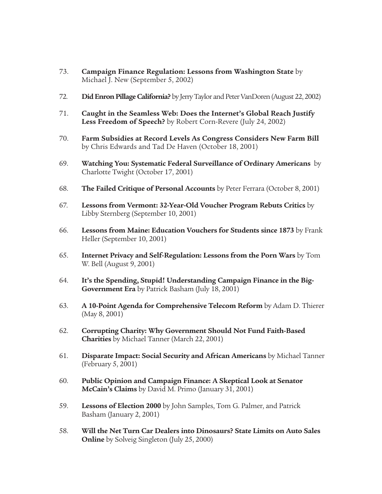- 73. **Campaign Finance Regulation: Lessons from Washington State** by Michael J. New (September 5, 2002)
- 72. **Did Enron Pillage California?** by Jerry Taylor and Peter VanDoren (August 22, 2002)
- 71. **Caught in the Seamless Web: Does the Internet's Global Reach Justify Less Freedom of Speech?** by Robert Corn-Revere (July 24, 2002)
- 70. **Farm Subsidies at Record Levels As Congress Considers New Farm Bill** by Chris Edwards and Tad De Haven (October 18, 2001)
- 69. **Watching You: Systematic Federal Surveillance of Ordinary Americans** by Charlotte Twight (October 17, 2001)
- 68. **The Failed Critique of Personal Accounts** by Peter Ferrara (October 8, 2001)
- 67. **Lessons from Vermont: 32-Year-Old Voucher Program Rebuts Critics** by Libby Sternberg (September 10, 2001)
- 66. **Lessons from Maine: Education Vouchers for Students since 1873** by Frank Heller (September 10, 2001)
- 65. **Internet Privacy and Self-Regulation: Lessons from the Porn Wars** by Tom W. Bell (August 9, 2001)
- 64. **It's the Spending, Stupid! Understanding Campaign Finance in the Big-Government Era** by Patrick Basham (July 18, 2001)
- 63. **A 10-Point Agenda for Comprehensive Telecom Reform** by Adam D. Thierer (May 8, 2001)
- 62. **Corrupting Charity: Why Government Should Not Fund Faith-Based Charities** by Michael Tanner (March 22, 2001)
- 61. **Disparate Impact: Social Security and African Americans** by Michael Tanner (February 5, 2001)
- 60. **Public Opinion and Campaign Finance: A Skeptical Look at Senator McCain's Claims** by David M. Primo (January 31, 2001)
- 59. **Lessons of Election 2000** by John Samples, Tom G. Palmer, and Patrick Basham (January 2, 2001)
- 58. **Will the Net Turn Car Dealers into Dinosaurs? State Limits on Auto Sales Online** by Solveig Singleton (July 25, 2000)